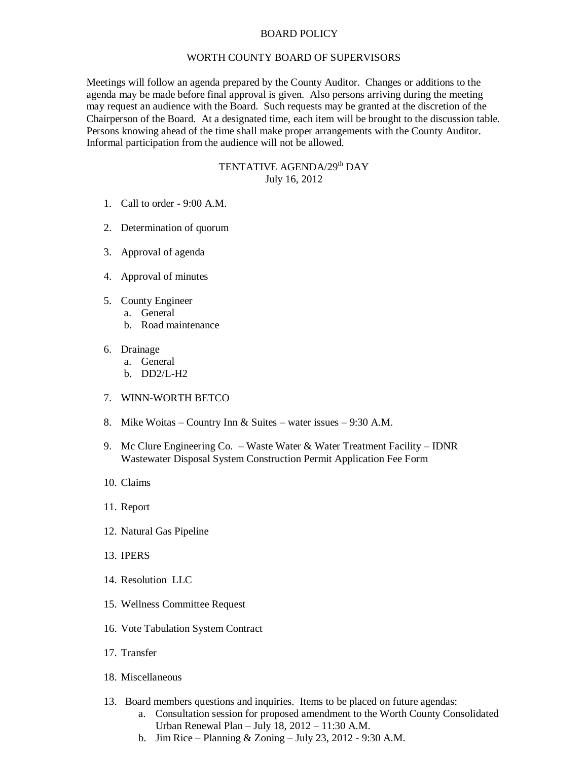## BOARD POLICY

## WORTH COUNTY BOARD OF SUPERVISORS

Meetings will follow an agenda prepared by the County Auditor. Changes or additions to the agenda may be made before final approval is given. Also persons arriving during the meeting may request an audience with the Board. Such requests may be granted at the discretion of the Chairperson of the Board. At a designated time, each item will be brought to the discussion table. Persons knowing ahead of the time shall make proper arrangements with the County Auditor. Informal participation from the audience will not be allowed.

## TENTATIVE AGENDA/29<sup>th</sup> DAY July 16, 2012

- 1. Call to order 9:00 A.M.
- 2. Determination of quorum
- 3. Approval of agenda
- 4. Approval of minutes
- 5. County Engineer
	- a. General
		- b. Road maintenance
- 6. Drainage
	- a. General
	- b. DD2/L-H2
- 7. WINN-WORTH BETCO
- 8. Mike Woitas Country Inn & Suites water issues 9:30 A.M.
- 9. Mc Clure Engineering Co. Waste Water & Water Treatment Facility IDNR Wastewater Disposal System Construction Permit Application Fee Form
- 10. Claims
- 11. Report
- 12. Natural Gas Pipeline
- 13. IPERS
- 14. Resolution LLC
- 15. Wellness Committee Request
- 16. Vote Tabulation System Contract
- 17. Transfer
- 18. Miscellaneous
- 13. Board members questions and inquiries. Items to be placed on future agendas:
	- a. Consultation session for proposed amendment to the Worth County Consolidated Urban Renewal Plan – July 18, 2012 – 11:30 A.M.
	- b. Jim Rice Planning & Zoning July 23, 2012 9:30 A.M.